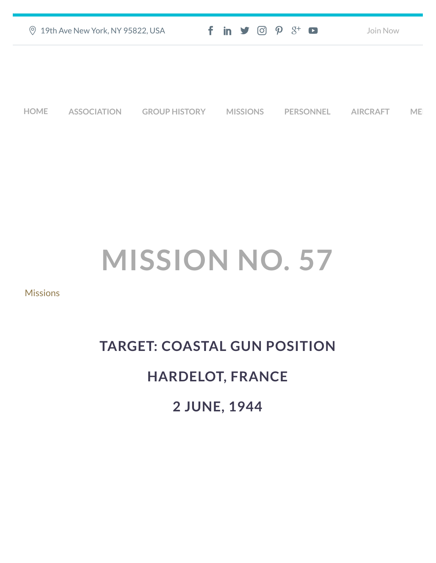| ◎ 19th Ave New York, NY 95822, USA | $f$ in $\blacktriangleright$ $\odot$ $\varphi$ $\aleph$ $\Box$ | Join Now |
|------------------------------------|----------------------------------------------------------------|----------|
|                                    |                                                                |          |
|                                    |                                                                |          |
|                                    |                                                                |          |

**[HOME](https://457thbombgroupassoc.org/)** [ASSOCIATION](https://457thbombgroupassoc.org/mission-no-57/#) [GROUP HISTORY](https://457thbombgroupassoc.org/mission-no-57/#) [MISSIONS](https://457thbombgroupassoc.org/mission-no-57/#) [PERSONNEL](https://457thbombgroupassoc.org/mission-no-57/#) [AIRCRAFT](https://457thbombgroupassoc.org/mission-no-57/#) [MED](https://457thbombgroupassoc.org/mission-no-57/#)

## **MISSION NO. 57**

**[Missions](https://457thbombgroupassoc.org/category/missions/)** 

## **TARGET: COASTAL GUN POSITION HARDELOT, FRANCE 2 JUNE, 1944**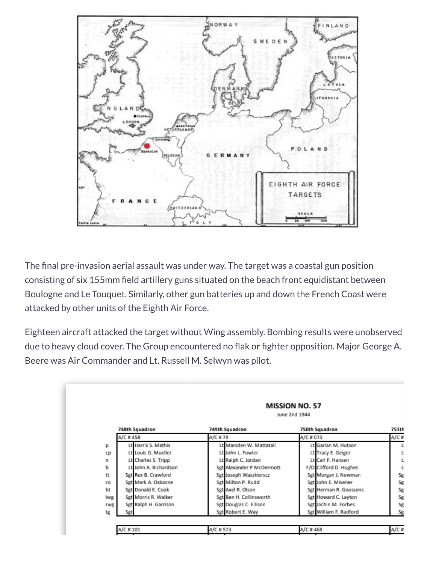

The final pre-invasion aerial assault was under way. The target was a coastal gun position consisting of six 155mm field artillery guns situated on the beach front equidistant between Boulogne and Le Touquet. Similarly, other gun batteries up and down the French Coast were attacked by other units of the Eighth Air Force.

Eighteen aircraft attacked the target without Wing assembly. Bombing results were unobserved due to heavy cloud cover. The Group encountered no flak or fighter opposition. Major George A. Beere was Air Commander and Lt. Russell M. Selwyn was pilot.

|     |                       | <b>MISSION NO. 57</b><br>June 2nd 1944 |                        |              |  |  |
|-----|-----------------------|----------------------------------------|------------------------|--------------|--|--|
|     | 748th Squadron        | 749th Squadron                         | 750th Squadron         | <b>751th</b> |  |  |
|     | A/C #458              | A/C #79                                | A/C # 073              | A/C #        |  |  |
| D   | Lt Harris S. Mathis   | Lt Marsden W. Mattatall                | Lt Garlan M. Hutson    |              |  |  |
| cp  | Lt Louis G. Mueller   | Lt John L. Fowler                      | Lt Tracy E. Geiger     | ι            |  |  |
| n   | Lt Charles S. Tripp   | Lt Ralph C. Jordan                     | Lt Carl F. Hansen      | ι            |  |  |
| ь   | Lt John A. Richardson | Sgt Alexander P McDermott              | F/O Clifford D. Hughes | ι            |  |  |
| tt  | Sgt Rex B. Crawford   | Sgt Joseph Waszkierscz                 | Sgt Morgan J. Newman   | Sg           |  |  |
| ro  | Sgt Mark A. Osborne   | Sgt Milton P. Rudd                     | Sgt John E. Misener    | Sg           |  |  |
| bt  | Sgt Donald E. Cook    | Sgt Axel R. Olson                      | Sgt Herman R. Goossens | Sg           |  |  |
| lwg | Sgt Morris R. Walker  | Sgt Ben H. Collinsworth                | Sgt Howard C. Layton   | Sg           |  |  |
| rwg | Sgt Ralph H. Garrison | Sgt Douglas C. Ellison                 | Sgt Jachin M. Forbes   | Sg           |  |  |
| tg  | Sgt                   | Sgt Robert E. Way                      | Sgt William F. Radford | Sg           |  |  |